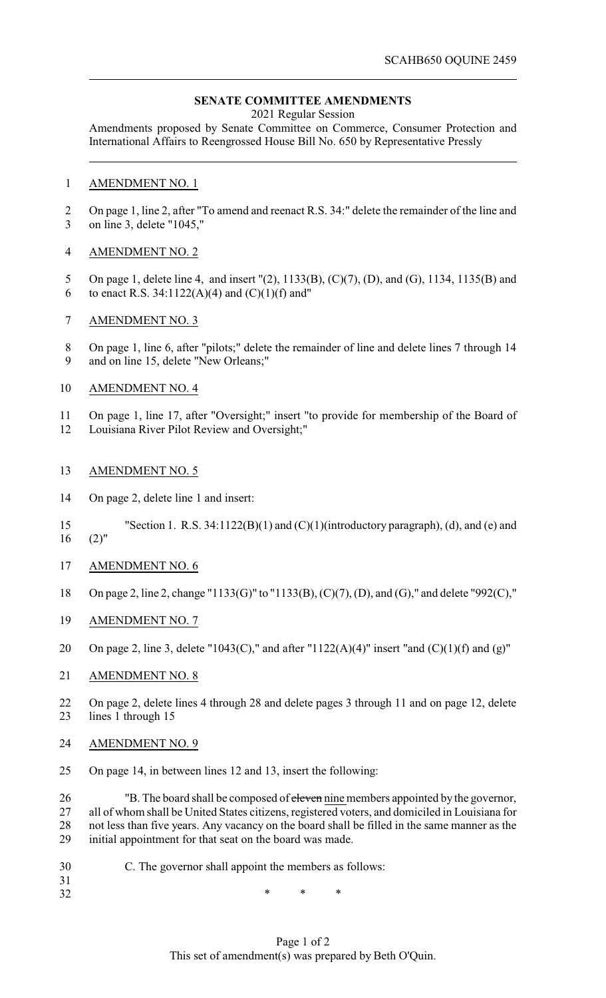## **SENATE COMMITTEE AMENDMENTS**

2021 Regular Session

Amendments proposed by Senate Committee on Commerce, Consumer Protection and International Affairs to Reengrossed House Bill No. 650 by Representative Pressly

## AMENDMENT NO. 1

 On page 1, line 2, after "To amend and reenact R.S. 34:" delete the remainder of the line and on line 3, delete "1045,"

## AMENDMENT NO. 2

- On page 1, delete line 4, and insert "(2), 1133(B), (C)(7), (D), and (G), 1134, 1135(B) and
- 6 to enact R.S. 34:1122(A)(4) and  $(C)(1)(f)$  and"
- AMENDMENT NO. 3
- On page 1, line 6, after "pilots;" delete the remainder of line and delete lines 7 through 14 and on line 15, delete "New Orleans;"
- AMENDMENT NO. 4
- On page 1, line 17, after "Oversight;" insert "to provide for membership of the Board of
- Louisiana River Pilot Review and Oversight;"
- AMENDMENT NO. 5
- On page 2, delete line 1 and insert:
- "Section 1. R.S. 34:1122(B)(1) and (C)(1)(introductory paragraph), (d), and (e) and  $(2)$ "
- AMENDMENT NO. 6
- On page 2, line 2, change "1133(G)" to "1133(B), (C)(7), (D), and (G)," and delete "992(C),"
- AMENDMENT NO. 7
- 20 On page 2, line 3, delete "1043(C)," and after "1122(A)(4)" insert "and (C)(1)(f) and (g)"
- AMENDMENT NO. 8
- On page 2, delete lines 4 through 28 and delete pages 3 through 11 and on page 12, delete lines 1 through 15
- AMENDMENT NO. 9

On page 14, in between lines 12 and 13, insert the following:

 "B. The board shall be composed of eleven nine members appointed by the governor, all of whom shall be United States citizens, registered voters, and domiciled in Louisiana for not less than five years. Any vacancy on the board shall be filled in the same manner as the initial appointment for that seat on the board was made.

- C. The governor shall appoint the members as follows:
- 32 \* \* \* \*